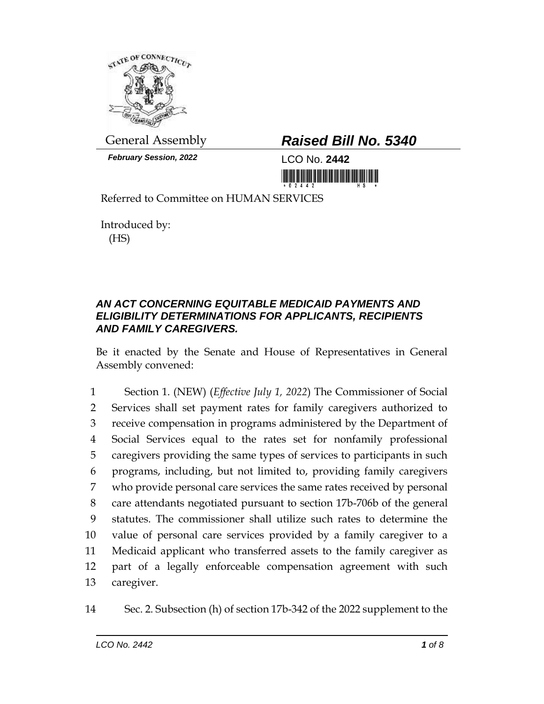

*February Session, 2022* LCO No. **2442**

## General Assembly *Raised Bill No. 5340*

<u> 1999 - An Dùbhlachd Marwrig Marwr a 1999 - An Dùbhair An Dùbhair An Dùbhlachd Marwr a 1999. Bha bhliain 1999 </u>

Referred to Committee on HUMAN SERVICES

Introduced by: (HS)

## *AN ACT CONCERNING EQUITABLE MEDICAID PAYMENTS AND ELIGIBILITY DETERMINATIONS FOR APPLICANTS, RECIPIENTS AND FAMILY CAREGIVERS.*

Be it enacted by the Senate and House of Representatives in General Assembly convened:

 Section 1. (NEW) (*Effective July 1, 2022*) The Commissioner of Social Services shall set payment rates for family caregivers authorized to receive compensation in programs administered by the Department of Social Services equal to the rates set for nonfamily professional caregivers providing the same types of services to participants in such programs, including, but not limited to, providing family caregivers who provide personal care services the same rates received by personal care attendants negotiated pursuant to section 17b-706b of the general statutes. The commissioner shall utilize such rates to determine the value of personal care services provided by a family caregiver to a Medicaid applicant who transferred assets to the family caregiver as part of a legally enforceable compensation agreement with such caregiver.

14 Sec. 2. Subsection (h) of section 17b-342 of the 2022 supplement to the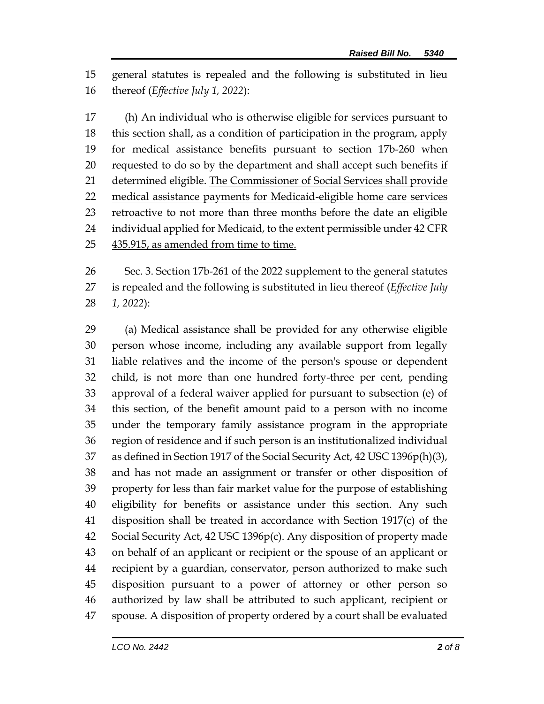general statutes is repealed and the following is substituted in lieu thereof (*Effective July 1, 2022*):

 (h) An individual who is otherwise eligible for services pursuant to this section shall, as a condition of participation in the program, apply for medical assistance benefits pursuant to section 17b-260 when requested to do so by the department and shall accept such benefits if 21 determined eligible. The Commissioner of Social Services shall provide medical assistance payments for Medicaid-eligible home care services retroactive to not more than three months before the date an eligible 24 individual applied for Medicaid, to the extent permissible under 42 CFR 435.915, as amended from time to time.

 Sec. 3. Section 17b-261 of the 2022 supplement to the general statutes is repealed and the following is substituted in lieu thereof (*Effective July 1, 2022*):

 (a) Medical assistance shall be provided for any otherwise eligible person whose income, including any available support from legally liable relatives and the income of the person's spouse or dependent child, is not more than one hundred forty-three per cent, pending approval of a federal waiver applied for pursuant to subsection (e) of this section, of the benefit amount paid to a person with no income under the temporary family assistance program in the appropriate region of residence and if such person is an institutionalized individual as defined in Section 1917 of the Social Security Act, 42 USC 1396p(h)(3), and has not made an assignment or transfer or other disposition of property for less than fair market value for the purpose of establishing eligibility for benefits or assistance under this section. Any such disposition shall be treated in accordance with Section 1917(c) of the Social Security Act, 42 USC 1396p(c). Any disposition of property made on behalf of an applicant or recipient or the spouse of an applicant or recipient by a guardian, conservator, person authorized to make such disposition pursuant to a power of attorney or other person so authorized by law shall be attributed to such applicant, recipient or spouse. A disposition of property ordered by a court shall be evaluated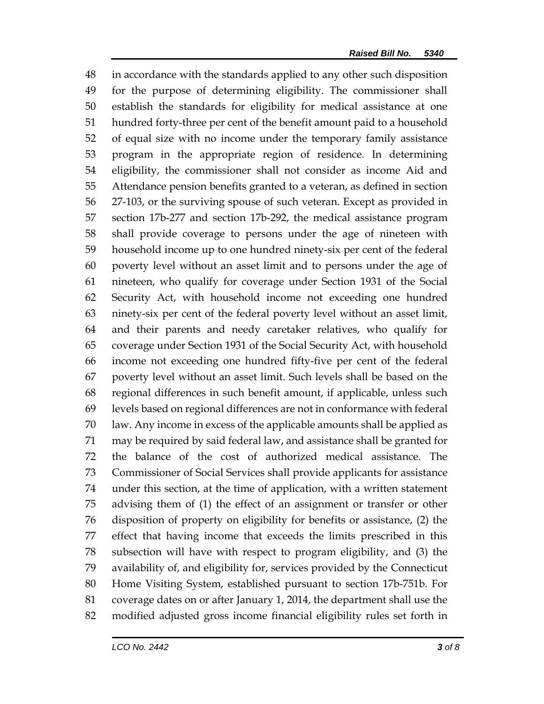in accordance with the standards applied to any other such disposition for the purpose of determining eligibility. The commissioner shall establish the standards for eligibility for medical assistance at one hundred forty-three per cent of the benefit amount paid to a household of equal size with no income under the temporary family assistance program in the appropriate region of residence. In determining eligibility, the commissioner shall not consider as income Aid and Attendance pension benefits granted to a veteran, as defined in section 27-103, or the surviving spouse of such veteran. Except as provided in section 17b-277 and section 17b-292, the medical assistance program shall provide coverage to persons under the age of nineteen with household income up to one hundred ninety-six per cent of the federal poverty level without an asset limit and to persons under the age of nineteen, who qualify for coverage under Section 1931 of the Social Security Act, with household income not exceeding one hundred ninety-six per cent of the federal poverty level without an asset limit, and their parents and needy caretaker relatives, who qualify for coverage under Section 1931 of the Social Security Act, with household income not exceeding one hundred fifty-five per cent of the federal poverty level without an asset limit. Such levels shall be based on the regional differences in such benefit amount, if applicable, unless such levels based on regional differences are not in conformance with federal law. Any income in excess of the applicable amounts shall be applied as may be required by said federal law, and assistance shall be granted for the balance of the cost of authorized medical assistance. The Commissioner of Social Services shall provide applicants for assistance under this section, at the time of application, with a written statement advising them of (1) the effect of an assignment or transfer or other disposition of property on eligibility for benefits or assistance, (2) the effect that having income that exceeds the limits prescribed in this subsection will have with respect to program eligibility, and (3) the availability of, and eligibility for, services provided by the Connecticut Home Visiting System, established pursuant to section 17b-751b. For coverage dates on or after January 1, 2014, the department shall use the modified adjusted gross income financial eligibility rules set forth in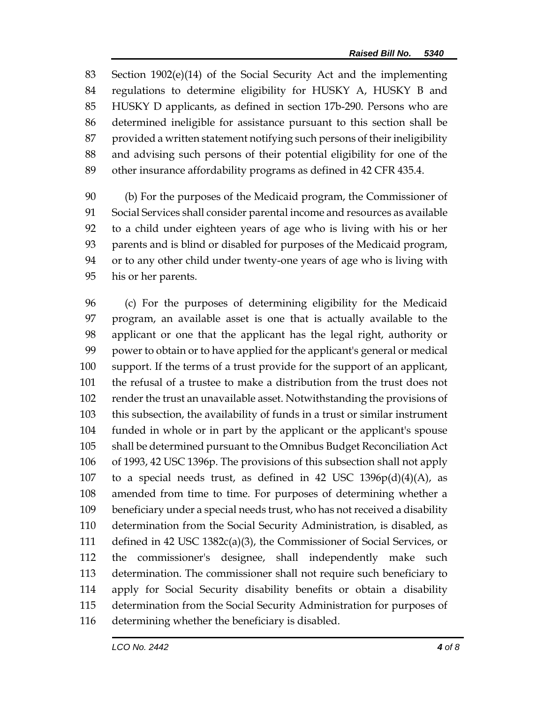Section 1902(e)(14) of the Social Security Act and the implementing regulations to determine eligibility for HUSKY A, HUSKY B and HUSKY D applicants, as defined in section 17b-290. Persons who are determined ineligible for assistance pursuant to this section shall be provided a written statement notifying such persons of their ineligibility and advising such persons of their potential eligibility for one of the other insurance affordability programs as defined in 42 CFR 435.4.

 (b) For the purposes of the Medicaid program, the Commissioner of Social Services shall consider parental income and resources as available to a child under eighteen years of age who is living with his or her parents and is blind or disabled for purposes of the Medicaid program, or to any other child under twenty-one years of age who is living with his or her parents.

 (c) For the purposes of determining eligibility for the Medicaid program, an available asset is one that is actually available to the applicant or one that the applicant has the legal right, authority or power to obtain or to have applied for the applicant's general or medical support. If the terms of a trust provide for the support of an applicant, the refusal of a trustee to make a distribution from the trust does not render the trust an unavailable asset. Notwithstanding the provisions of this subsection, the availability of funds in a trust or similar instrument funded in whole or in part by the applicant or the applicant's spouse shall be determined pursuant to the Omnibus Budget Reconciliation Act of 1993, 42 USC 1396p. The provisions of this subsection shall not apply 107 to a special needs trust, as defined in 42 USC  $1396p(d)(4)(A)$ , as amended from time to time. For purposes of determining whether a beneficiary under a special needs trust, who has not received a disability determination from the Social Security Administration, is disabled, as defined in 42 USC 1382c(a)(3), the Commissioner of Social Services, or the commissioner's designee, shall independently make such determination. The commissioner shall not require such beneficiary to apply for Social Security disability benefits or obtain a disability determination from the Social Security Administration for purposes of determining whether the beneficiary is disabled.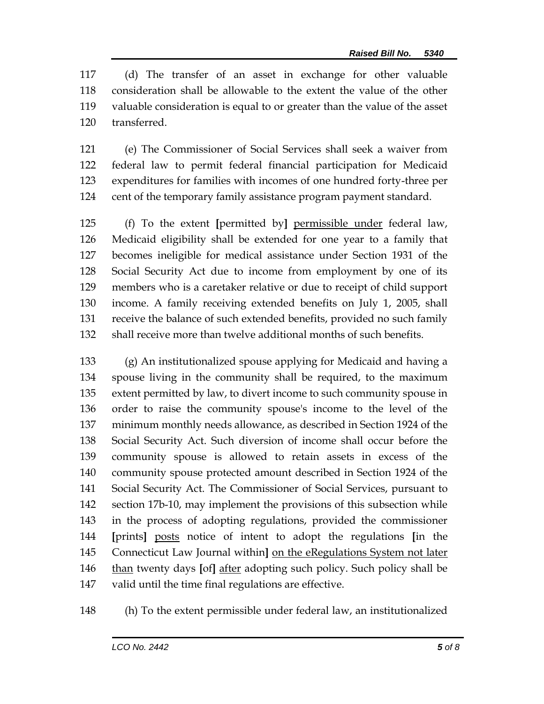(d) The transfer of an asset in exchange for other valuable consideration shall be allowable to the extent the value of the other valuable consideration is equal to or greater than the value of the asset transferred.

 (e) The Commissioner of Social Services shall seek a waiver from federal law to permit federal financial participation for Medicaid expenditures for families with incomes of one hundred forty-three per cent of the temporary family assistance program payment standard.

 (f) To the extent **[**permitted by**]** permissible under federal law, Medicaid eligibility shall be extended for one year to a family that becomes ineligible for medical assistance under Section 1931 of the Social Security Act due to income from employment by one of its members who is a caretaker relative or due to receipt of child support income. A family receiving extended benefits on July 1, 2005, shall receive the balance of such extended benefits, provided no such family shall receive more than twelve additional months of such benefits.

 (g) An institutionalized spouse applying for Medicaid and having a spouse living in the community shall be required, to the maximum extent permitted by law, to divert income to such community spouse in order to raise the community spouse's income to the level of the minimum monthly needs allowance, as described in Section 1924 of the Social Security Act. Such diversion of income shall occur before the community spouse is allowed to retain assets in excess of the community spouse protected amount described in Section 1924 of the Social Security Act. The Commissioner of Social Services, pursuant to section 17b-10, may implement the provisions of this subsection while in the process of adopting regulations, provided the commissioner **[**prints**]** posts notice of intent to adopt the regulations **[**in the Connecticut Law Journal within**]** on the eRegulations System not later than twenty days **[**of**]** after adopting such policy. Such policy shall be valid until the time final regulations are effective.

(h) To the extent permissible under federal law, an institutionalized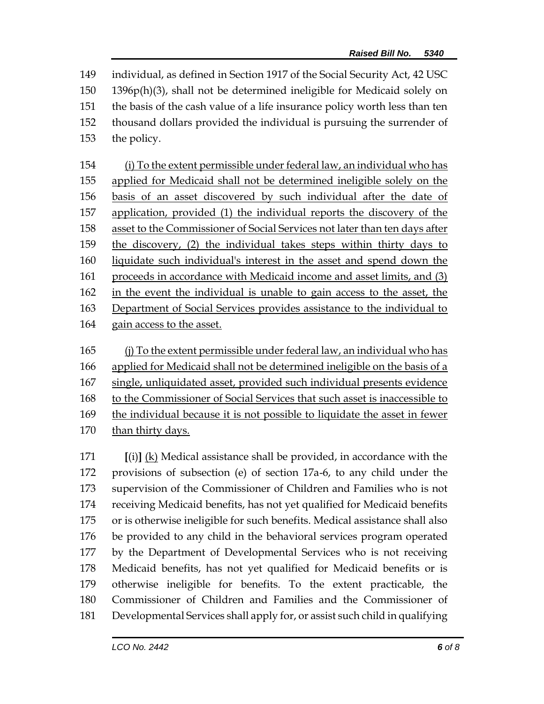individual, as defined in Section 1917 of the Social Security Act, 42 USC 1396p(h)(3), shall not be determined ineligible for Medicaid solely on the basis of the cash value of a life insurance policy worth less than ten thousand dollars provided the individual is pursuing the surrender of the policy.

 (i) To the extent permissible under federal law, an individual who has applied for Medicaid shall not be determined ineligible solely on the basis of an asset discovered by such individual after the date of application, provided (1) the individual reports the discovery of the asset to the Commissioner of Social Services not later than ten days after the discovery, (2) the individual takes steps within thirty days to liquidate such individual's interest in the asset and spend down the proceeds in accordance with Medicaid income and asset limits, and (3) in the event the individual is unable to gain access to the asset, the Department of Social Services provides assistance to the individual to gain access to the asset.

 (j) To the extent permissible under federal law, an individual who has applied for Medicaid shall not be determined ineligible on the basis of a single, unliquidated asset, provided such individual presents evidence to the Commissioner of Social Services that such asset is inaccessible to the individual because it is not possible to liquidate the asset in fewer than thirty days.

 **[**(i)**]** (k) Medical assistance shall be provided, in accordance with the provisions of subsection (e) of section 17a-6, to any child under the supervision of the Commissioner of Children and Families who is not receiving Medicaid benefits, has not yet qualified for Medicaid benefits or is otherwise ineligible for such benefits. Medical assistance shall also be provided to any child in the behavioral services program operated by the Department of Developmental Services who is not receiving Medicaid benefits, has not yet qualified for Medicaid benefits or is otherwise ineligible for benefits. To the extent practicable, the Commissioner of Children and Families and the Commissioner of Developmental Services shall apply for, or assist such child in qualifying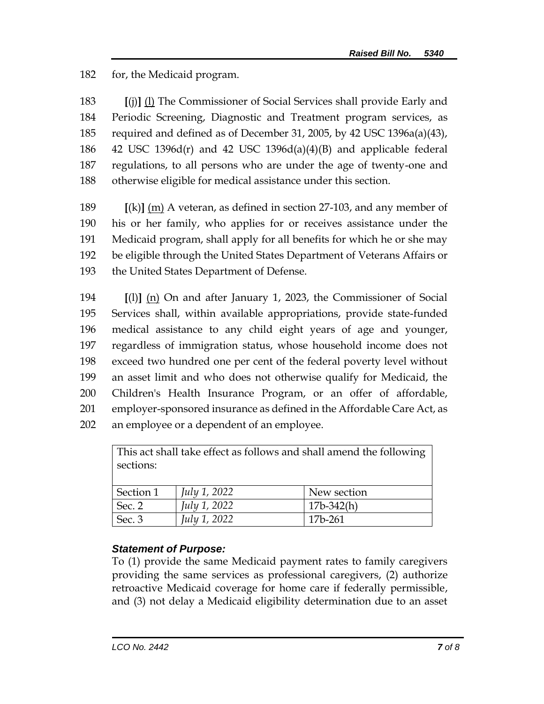for, the Medicaid program.

 **[**(j)**]** (l) The Commissioner of Social Services shall provide Early and Periodic Screening, Diagnostic and Treatment program services, as required and defined as of December 31, 2005, by 42 USC 1396a(a)(43), 186 42 USC 1396 $d(r)$  and 42 USC 1396 $d(a)(4)(B)$  and applicable federal regulations, to all persons who are under the age of twenty-one and otherwise eligible for medical assistance under this section.

 **[**(k)**]** (m) A veteran, as defined in section 27-103, and any member of his or her family, who applies for or receives assistance under the Medicaid program, shall apply for all benefits for which he or she may be eligible through the United States Department of Veterans Affairs or the United States Department of Defense.

 **[**(l)**]** (n) On and after January 1, 2023, the Commissioner of Social Services shall, within available appropriations, provide state-funded medical assistance to any child eight years of age and younger, regardless of immigration status, whose household income does not exceed two hundred one per cent of the federal poverty level without an asset limit and who does not otherwise qualify for Medicaid, the Children's Health Insurance Program, or an offer of affordable, employer-sponsored insurance as defined in the Affordable Care Act, as an employee or a dependent of an employee.

| This act shall take effect as follows and shall amend the following |                     |              |
|---------------------------------------------------------------------|---------------------|--------------|
| sections:                                                           |                     |              |
|                                                                     |                     |              |
| Section 1                                                           | <i>July 1, 2022</i> | New section  |
| Sec. 2                                                              | <i>July 1, 2022</i> | $17b-342(h)$ |
| Sec. 3                                                              | July 1, 2022        | 17b-261      |

## *Statement of Purpose:*

To (1) provide the same Medicaid payment rates to family caregivers providing the same services as professional caregivers, (2) authorize retroactive Medicaid coverage for home care if federally permissible, and (3) not delay a Medicaid eligibility determination due to an asset